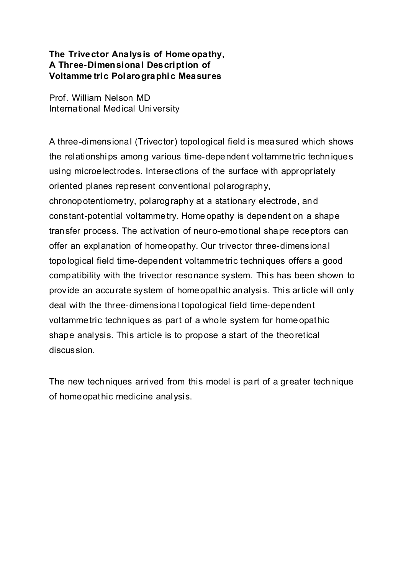## **The Trivector Analysis of Home opathy, A Three-Dimensional Description of Voltamme tric Polarographic Measures**

Prof. William Nelson MD International Medical University

A three-dimensional (Trivector) topological field is measured which shows the relationships among various time-dependent voltammetric techniques using microelectrodes. Intersections of the surface with appropriately oriented planes represent conventional polarography, chronopotentiometry, polarography at a stationary electrode, and constant-potential voltammetry. Home opathy is dependent on a shape transfer process. The activation of neuro-emotional shape receptors can offer an explanation of homeopathy. Our trivector three-dimensional topological field time-dependent voltammetric techniques offers a good compatibility with the trivector resonance system. This has been shown to provide an accurate system of homeopathic analysis. This article will only deal with the three-dimensional topological field time-dependent voltammetric techniques as part of a whole system for homeopathic shape analysis. This article is to propose a start of the theoretical discussion.

The new techniques arrived from this model is part of a greater technique of homeopathic medicine analysis.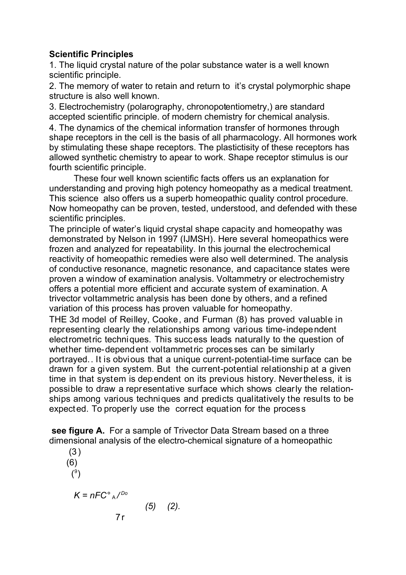# **Scientific Principles**

1. The liquid crystal nature of the polar substance water is a well known scientific principle.

2. The memory of water to retain and return to it's crystal polymorphic shape structure is also well known.

3. Electrochemistry (polarography, chronopotentiometry,) are standard accepted scientific principle. of modern chemistry for chemical analysis. 4. The dynamics of the chemical information transfer of hormones through shape receptors in the cell is the basis of all pharmacology. All hormones work by stimulating these shape receptors. The plastictisity of these receptors has allowed synthetic chemistry to apear to work. Shape receptor stimulus is our fourth scientific principle.

These four well known scientific facts offers us an explanation for understanding and proving high potency homeopathy as a medical treatment. This science also offers us a superb homeopathic quality control procedure. Now homeopathy can be proven, tested, understood, and defended with these scientific principles.

The principle of water's liquid crystal shape capacity and homeopathy was demonstrated by Nelson in 1997 (IJMSH). Here several homeopathics were frozen and analyzed for repeatability. In this journal the electrochemical reactivity of homeopathic remedies were also well determined. The analysis of conductive resonance, magnetic resonance, and capacitance states were proven a window of examination analysis. Voltammetry or electrochemistry offers a potential more efficient and accurate system of examination. A trivector voltammetric analysis has been done by others, and a refined variation of this process has proven valuable for homeopathy.

THE 3d model of Reilley, Cooke, and Furman (8) has proved valuable in representing clearly the relationships among various time-independent electrometric techniques. This success leads naturally to the question of whether time-dependent voltammetric processes can be similarly portrayed.. It is obvious that a unique current-potential-time surface can be drawn for a given system. But the current-potential relationship at a given time in that system is dependent on its previous history. Nevertheless, it is possible to draw a representative surface which shows clearly the relationships among various techniques and predicts qualitatively the results to be expected. To properly use the correct equation for the process

**see figure A.** For a sample of Trivector Data Stream based on a three dimensional analysis of the electro-chemical signature of a homeopathic

(3) (6)  $(°)$ *K = nFC°* A */ Do (5) (2).*  $7r$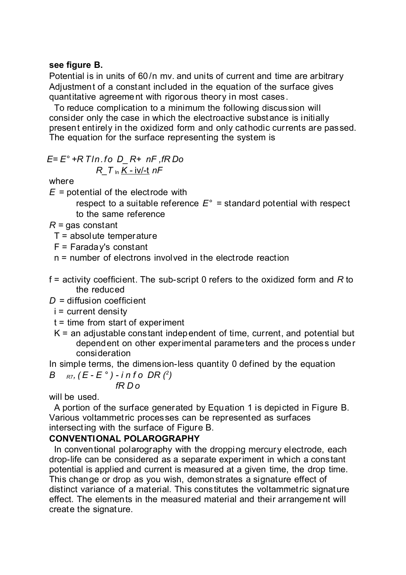#### **see figure B.**

Potential is in units of 60/n mv. and units of current and time are arbitrary Adjustment of a constant included in the equation of the surface gives quantitative agreement with rigorous theory in most cases.

To reduce complication to a minimum the following discussion will consider only the case in which the electroactive substance is initially present entirely in the oxidized form and only cathodic currents are passed. The equation for the surface representing the system is

$$
E = E^{\circ} + R \text{ } T \text{ } \text{ } n \text{ } f \text{ } o \text{ } D_{\text{ } \text{ } \text{ } R} + \text{ } nF \text{ } , fR \text{ } Do
$$
\n
$$
R_{\text{ } \text{ } \text{ } T \text{ } \text{ } \text{ } n} \text{ } \underline{K} \text{ } - \text{ } i \text{ } v \text{ } \text{ } \text{ } nF
$$

where

*E* = potential of the electrode with

respect to a suitable reference  $E^{\circ}$  = standard potential with respect to the same reference

- *R =* gas constant
	- $T =$  absolute temperature
	- $F =$  Faraday's constant
	- n = number of electrons involved in the electrode reaction
- f = activity coefficient. The sub-script 0 refers to the oxidized form and *R* to the reduced

*D* = diffusion coefficient

- i = current density
- $t =$  time from start of experiment
- $K =$  an adjustable constant independent of time, current, and potential but dependent on other experimental parameters and the process under consideration

In simple terms, the dimension-less quantity 0 defined by the equation *B R7,*  $(E - E^{\circ}) - i n f o DR (2)$ 

$$
f\mathsf{R}\, \mathsf{D}\, \mathsf{o}
$$

will be used.

A portion of the surface generated by Equation 1 is depicted in Figure B. Various voltammetric processes can be represented as surfaces intersecting with the surface of Figure B.

# **CONVENTIONAL POLAROGRAPHY**

In conventional polarography with the dropping mercury electrode, each drop-life can be considered as a separate experiment in which a constant potential is applied and current is measured at a given time, the drop time. This change or drop as you wish, demonstrates a signature effect of distinct variance of a material. This constitutes the voltammetric signature effect. The elements in the measured material and their arrangement will create the signature.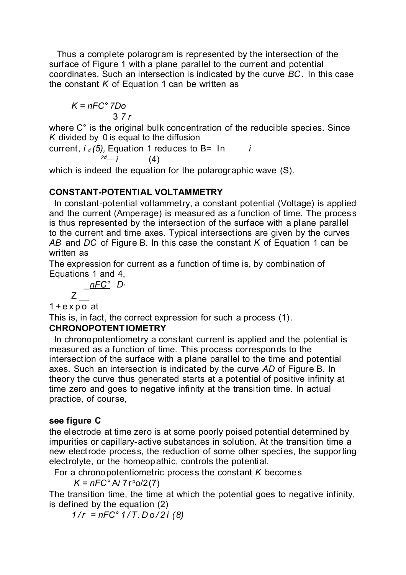Thus a complete polarogram is represented by the intersection of the surface of Figure 1 with a plane parallel to the current and potential coordinates. Such an intersection is indicated by the curve *BC .* In this case the constant *K* of Equation 1 can be written as

$$
K = nFC^{\circ} \, 7Do
$$
  
3.7 r

where C<sup>°</sup> is the original bulk concentration of the reducible species. Since *K* divided by 0 is equal to the diffusion

current,  $i_d$  (5), Equation 1 reduces to B=  $\ln$  *i 2d\_\_\_ i* (4)

which is indeed the equation for the polarographic wave (S).

## **CONSTANT-POTENTIAL VOLTAMMETRY**

In constant-potential voltammetry, a constant potential (Voltage) is applied and the current (Amperage) is measured as a function of time. The process is thus represented by the intersection of the surface with a plane parallel to the current and time axes. Typical intersections are given by the curves *AB* and *DC* of Figure B. In this case the constant *K* of Equation 1 can be written as

The expression for current as a function of time is, by combination of Equations 1 and 4,

$$
Z \frac{10^{\circ} \text{C}^{\circ}}{2}
$$

 $1 + e$  x p o at

This is, in fact, the correct expression for such a process (1).

## **CHRONOPOTENTIOMETRY**

\_ *nFC° D°*

In chronopotentiometry a constant current is applied and the potential is measured as a function of time. This process corresponds to the intersection of the surface with a plane parallel to the time and potential axes. Such an intersection is indicated by the curve *AD* of Figure B. In theory the curve thus generated starts at a potential of positive infinity at time zero and goes to negative infinity at the transition time. In actual practice, of course,

## **see figure C**

the electrode at time zero is at some poorly poised potential determined by impurities or capillary-active substances in solution. At the transition time a new electrode process, the reduction of some other species, the supporting electrolyte, or the homeopathic, controls the potential.

For a chronopotentiometric process the constant *K* becomes

 $K = nFC^{\circ} A / 7r^{\circ} o / 2(7)$ 

The transition time, the time at which the potential goes to negative infinity, is defined by the equation (2)

 $1/r = nFC° 1/T$ .  $Do/2i(8)$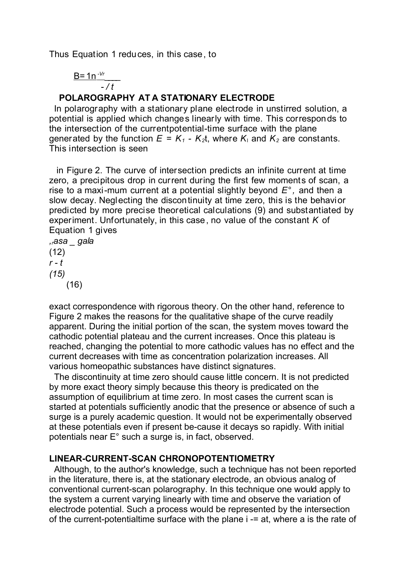Thus Equation 1 reduces, in this case, to

$$
\frac{B=1n^{-\nu r}}{-\ell t}
$$

# **POLAROGRAPHY AT A STATIONARY ELECTRODE**

In polarography with a stationary plane electrode in unstirred solution, a potential is applied which changes linearly with time. This corresponds to the intersection of the currentpotential-time surface with the plane generated by the function  $E = K_1 - K_2 t$ , where  $K_1$  and  $K_2$  are constants. This intersection is seen

 in Figure 2. The curve of intersection predicts an infinite current at time zero, a precipitous drop in current during the first few moments of scan, a rise to a maxi-mum current at a potential slightly beyond *E° ,* and then a slow decay. Neglecting the discontinuity at time zero, this is the behavior predicted by more precise theoretical calculations (9) and substantiated by experiment. Unfortunately, in this case, no value of the constant *K* of Equation 1 gives

*,rasa \_ gala*  $(12)$ *r - t (15)* (16)

exact correspondence with rigorous theory. On the other hand, reference to Figure 2 makes the reasons for the qualitative shape of the curve readily apparent. During the initial portion of the scan, the system moves toward the cathodic potential plateau and the current increases. Once this plateau is reached, changing the potential to more cathodic values has no effect and the current decreases with time as concentration polarization increases. All various homeopathic substances have distinct signatures.

The discontinuity at time zero should cause little concern. It is not predicted by more exact theory simply because this theory is predicated on the assumption of equilibrium at time zero. In most cases the current scan is started at potentials sufficiently anodic that the presence or absence of such a surge is a purely academic question. It would not be experimentally observed at these potentials even if present be-cause it decays so rapidly. With initial potentials near E° such a surge is, in fact, observed.

## **LINEAR-CURRENT-SCAN CHRONOPOTENTIOMETRY**

Although, to the author's knowledge, such a technique has not been reported in the literature, there is, at the stationary electrode, an obvious analog of conventional current-scan polarography. In this technique one would apply to the system a current varying linearly with time and observe the variation of electrode potential. Such a process would be represented by the intersection of the current-potentialtime surface with the plane i -= at, where a is the rate of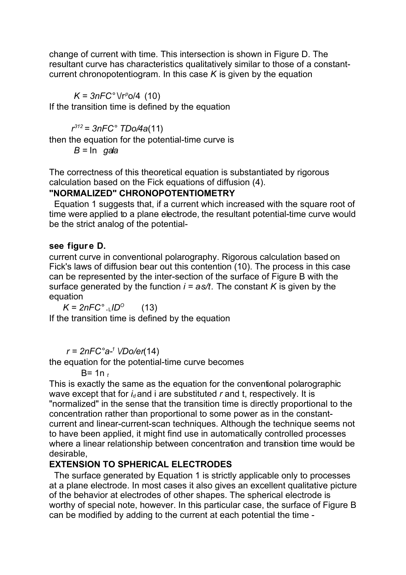change of current with time. This intersection is shown in Figure D. The resultant curve has characteristics qualitatively similar to those of a constantcurrent chronopotentiogram. In this case *K* is given by the equation

 $K = 3nFC° \Vr^p \t0/4$  (10)

If the transition time is defined by the equation

*r <sup>312</sup>= 3nFC° TDo/4a*(11)

then the equation for the potential-time curve is

*B =* In *gala*

The correctness of this theoretical equation is substantiated by rigorous calculation based on the Fick equations of diffusion (4).

## **"NORMALIZED" CHRONOPOTENTIOMETRY**

Equation 1 suggests that, if a current which increased with the square root of time were applied to a plane electrode, the resultant potential-time curve would be the strict analog of the potential-

#### **see figur e D.**

current curve in conventional polarography. Rigorous calculation based on Fick's laws of diffusion bear out this contention (10). The process in this case can be represented by the inter-section of the surface of Figure B with the surface generated by the function  $i = a s/t$ . The constant *K* is given by the equation

 $K = 2nFC^\circ$ . (13) If the transition time is defined by the equation

*r = 2nFC°a-<sup>1</sup> \/Do/er*(14)

the equation for the potential-time curve becomes

B= 1n *<sup>t</sup>*

This is exactly the same as the equation for the conventional polarographic wave except that for *i<sub>d</sub>* and *i* are substituted *r* and *t*, respectively. It is "normalized" in the sense that the transition time is directly proportional to the concentration rather than proportional to some power as in the constantcurrent and linear-current-scan techniques. Although the technique seems not to have been applied, it might find use in automatically controlled processes where a linear relationship between concentration and transition time would be desirable,

# **EXTENSION TO SPHERICAL ELECTRODES**

The surface generated by Equation 1 is strictly applicable only to processes at a plane electrode. In most cases it also gives an excellent qualitative picture of the behavior at electrodes of other shapes. The spherical electrode is worthy of special note, however. In this particular case, the surface of Figure B can be modified by adding to the current at each potential the time -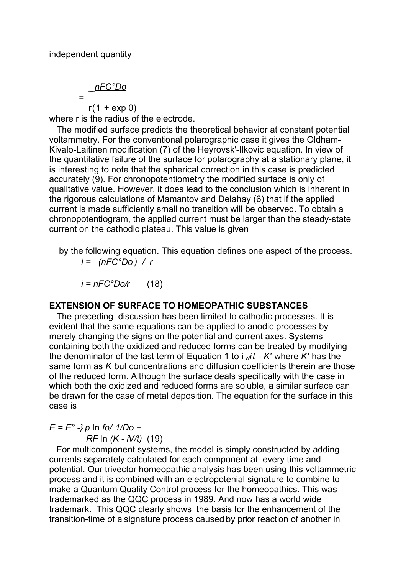$$
=\frac{nFC^{\circ}Do}{r(1+\exp 0)}
$$

where r is the radius of the electrode.

The modified surface predicts the theoretical behavior at constant potential voltammetry. For the conventional polarographic case it gives the Oldham-Kivalo-Laitinen modification (7) of the Heyrovsk'-Ilkovic equation. In view of the quantitative failure of the surface for polarography at a stationary plane, it is interesting to note that the spherical correction in this case is predicted accurately (9). For chronopotentiometry the modified surface is only of qualitative value. However, it does lead to the conclusion which is inherent in the rigorous calculations of Mamantov and Delahay (6) that if the applied current is made sufficiently small no transition will be observed. To obtain a chronopotentiogram, the applied current must be larger than the steady-state current on the cathodic plateau. This value is given

 by the following equation. This equation defines one aspect of the process. *i = (nFC°Do ) / r*

 $i = nFC^{\circ}Do/r$  (18)

#### **EXTENSION OF SURFACE TO HOMEOPATHIC SUBSTANCES**

The preceding discussion has been limited to cathodic processes. It is evident that the same equations can be applied to anodic processes by merely changing the signs on the potential and current axes. Systems containing both the oxidized and reduced forms can be treated by modifying the denominator of the last term of Equation 1 to i *Nit - K'* where *K'* has the same form as *K* but concentrations and diffusion coefficients therein are those of the reduced form. Although the surface deals specifically with the case in which both the oxidized and reduced forms are soluble, a similar surface can be drawn for the case of metal deposition. The equation for the surface in this case is

*E = E° -} p* In *fo/ 1/Do +*

*RF* In *(K - iV/t)* (19)

For multicomponent systems, the model is simply constructed by adding currents separately calculated for each component at every time and potential. Our trivector homeopathic analysis has been using this voltammetric process and it is combined with an electropotenial signature to combine to make a Quantum Quality Control process for the homeopathics. This was trademarked as the QQC process in 1989. And now has a world wide trademark. This QQC clearly shows the basis for the enhancement of the transition-time of a signature process caused by prior reaction of another in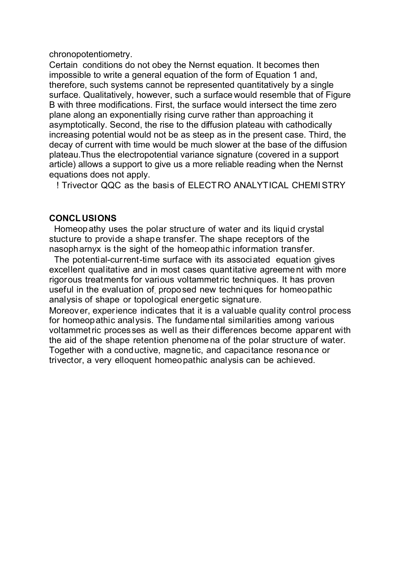chronopotentiometry.

Certain conditions do not obey the Nernst equation. It becomes then impossible to write a general equation of the form of Equation 1 and, therefore, such systems cannot be represented quantitatively by a single surface. Qualitatively, however, such a surface would resemble that of Figure B with three modifications. First, the surface would intersect the time zero plane along an exponentially rising curve rather than approaching it asymptotically. Second, the rise to the diffusion plateau with cathodically increasing potential would not be as steep as in the present case. Third, the decay of current with time would be much slower at the base of the diffusion plateau.Thus the electropotential variance signature (covered in a support article) allows a support to give us a more reliable reading when the Nernst equations does not apply.

! Trivector QQC as the basis of ELECTRO ANALYTICAL CHEMISTRY

#### **CONCLUSIONS**

Homeopathy uses the polar structure of water and its liquid crystal stucture to provide a shape transfer. The shape receptors of the nasopharnyx is the sight of the homeopathic information transfer.

The potential-current-time surface with its associated equation gives excellent qualitative and in most cases quantitative agreement with more rigorous treatments for various voltammetric techniques. It has proven useful in the evaluation of, proposed new techniques for homeopathic analysis of shape or topological energetic signature.

Moreover, experience indicates that it is a valuable qual ity control process for homeopathic analysis. The fundamental similarities among various voltammetric processes as well as their differences become apparent with the aid of the shape retention phenomena of the polar structure of water. Together with a conductive, magnetic, and capacitance resonance or trivector, a very elloquent homeopathic analysis can be achieved.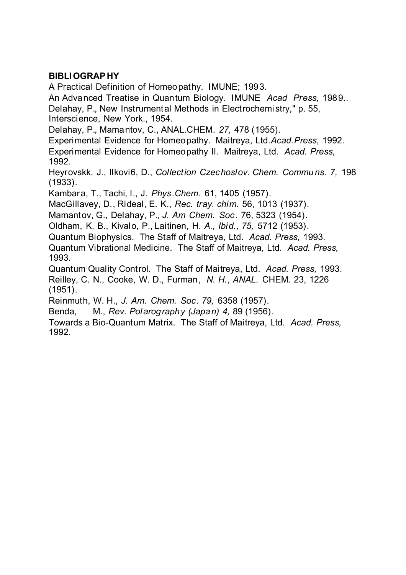## **BIBLIOGRAPHY**

A Practical Definition of Homeopathy. IMUNE; 1993. An Advanced Treatise in Quantum Biology. IMUNE *Acad Press,* 1989.*.* Delahay, P., New Instrumental Methods in Electrochemi stry," p. 55, Interscience, New York., 1954.

Delahay, P., Mamantov, C., ANAL.CHEM. *27,* 478 (1955).

Experimental Evidence for Homeopathy. Maitreya, Ltd.*Acad.Press,* 1992. Experimental Evidence for Homeopathy II. Maitreya, Ltd. *Acad. Press,* 1992.

Heyrovskk, J., Ilkovi6, D., *Collection Czechoslov. Chem. Commu ns. 7,* 198 (1933).

Kambara, T., Tachi, I., J. *Phys.Chem.* 61, 1405 (1957).

MacGillavey, D., Rideal, E. K., *Rec. tray. chim.* 56, 1013 (1937).

Mamantov, G., Delahay, P., *J. Am Chem. Soc .* 76, 5323 (1954).

Oldham, K. B., Kivalo, P., Laitinen, H. *A., Ibid., 75,* 5712 (1953).

Quantum Biophysics. The Staff of Maitreya, Ltd. *Acad. Press,* 1993.

Quantum Vibrational Medicine. The Staff of Maitreya, Ltd. *Acad. Press,* 1993.

Quantum Quality Control. The Staff of Maitreya, Ltd. *Acad. Press,* 1993. Reilley, C. N., Cooke, W. D., Furman, *N. H., ANAL.* CHEM. 23, 1226 (1951).

Reinmuth, W. H., *J. Am. Chem. Soc. 79,* 6358 (1957).

Benda, M., *Rev. Polarography (Japan) 4,* 89 (1956).

Towards a Bio-Quantum Matrix. The Staff of Maitreya, Ltd. *Acad. Press,* 1992.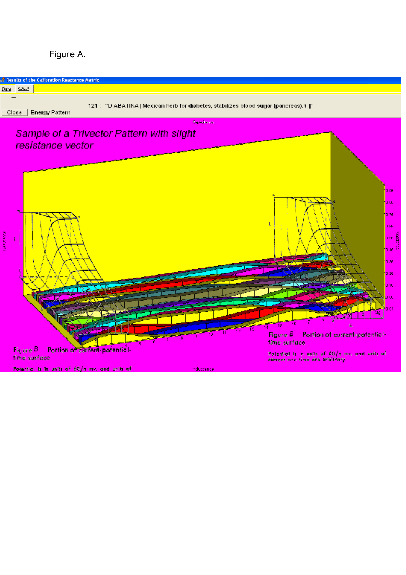

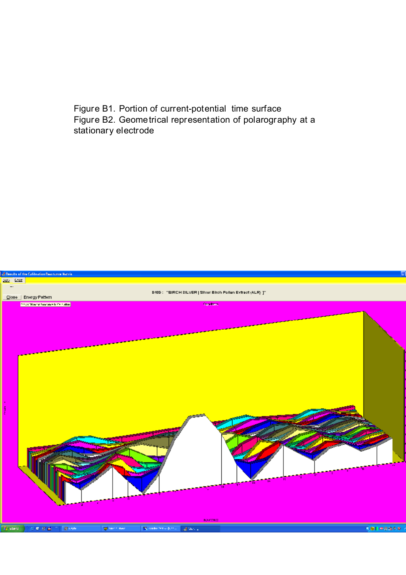Figure B1. Portion of current-potential time surface Figure B2. Geometrical representation of polarography at a stationary electrode